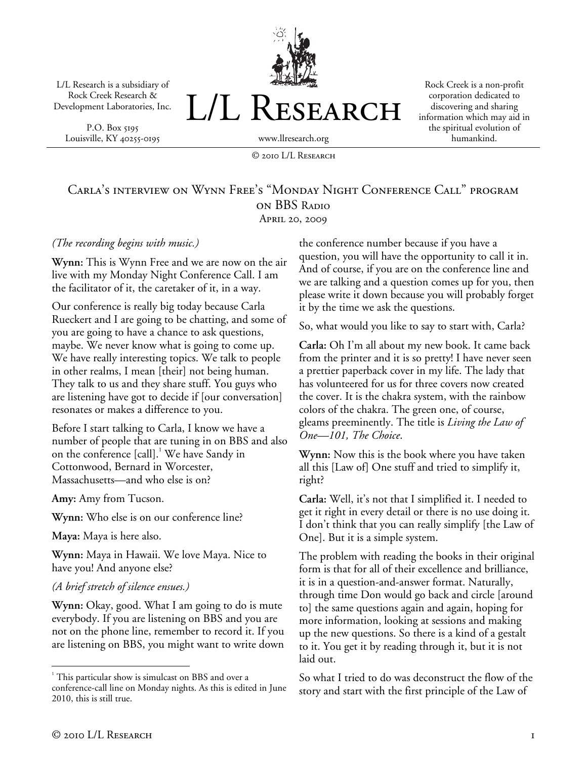L/L Research is a subsidiary of Rock Creek Research & Development Laboratories, Inc.

P.O. Box 5195 Louisville, KY 40255-0195



Rock Creek is a non-profit corporation dedicated to discovering and sharing information which may aid in the spiritual evolution of humankind.

# Carla's interview on Wynn Free's "Monday Night Conference Call" program on BBS Radio April 20, 2009

© 2010 L/L Research

#### *(The recording begins with music.)*

**Wynn:** This is Wynn Free and we are now on the air live with my Monday Night Conference Call. I am the facilitator of it, the caretaker of it, in a way.

Our conference is really big today because Carla Rueckert and I are going to be chatting, and some of you are going to have a chance to ask questions, maybe. We never know what is going to come up. We have really interesting topics. We talk to people in other realms, I mean [their] not being human. They talk to us and they share stuff. You guys who are listening have got to decide if [our conversation] resonates or makes a difference to you.

Before I start talking to Carla, I know we have a number of people that are tuning in on BBS and also on the conference [call].<sup>1</sup> We have Sandy in Cottonwood, Bernard in Worcester, Massachusetts—and who else is on?

**Amy:** Amy from Tucson.

**Wynn:** Who else is on our conference line?

**Maya:** Maya is here also.

**Wynn:** Maya in Hawaii. We love Maya. Nice to have you! And anyone else?

#### *(A brief stretch of silence ensues.)*

**Wynn:** Okay, good. What I am going to do is mute everybody. If you are listening on BBS and you are not on the phone line, remember to record it. If you are listening on BBS, you might want to write down the conference number because if you have a question, you will have the opportunity to call it in. And of course, if you are on the conference line and we are talking and a question comes up for you, then please write it down because you will probably forget it by the time we ask the questions.

So, what would you like to say to start with, Carla?

**Carla:** Oh I'm all about my new book. It came back from the printer and it is so pretty! I have never seen a prettier paperback cover in my life. The lady that has volunteered for us for three covers now created the cover. It is the chakra system, with the rainbow colors of the chakra. The green one, of course, gleams preeminently. The title is *Living the Law of One—101, The Choice*.

**Wynn:** Now this is the book where you have taken all this [Law of] One stuff and tried to simplify it, right?

**Carla:** Well, it's not that I simplified it. I needed to get it right in every detail or there is no use doing it. I don't think that you can really simplify [the Law of One]. But it is a simple system.

The problem with reading the books in their original form is that for all of their excellence and brilliance, it is in a question-and-answer format. Naturally, through time Don would go back and circle [around to] the same questions again and again, hoping for more information, looking at sessions and making up the new questions. So there is a kind of a gestalt to it. You get it by reading through it, but it is not laid out.

So what I tried to do was deconstruct the flow of the story and start with the first principle of the Law of

 $\overline{a}$ 

<sup>&</sup>lt;sup>1</sup> This particular show is simulcast on BBS and over a conference-call line on Monday nights. As this is edited in June 2010, this is still true.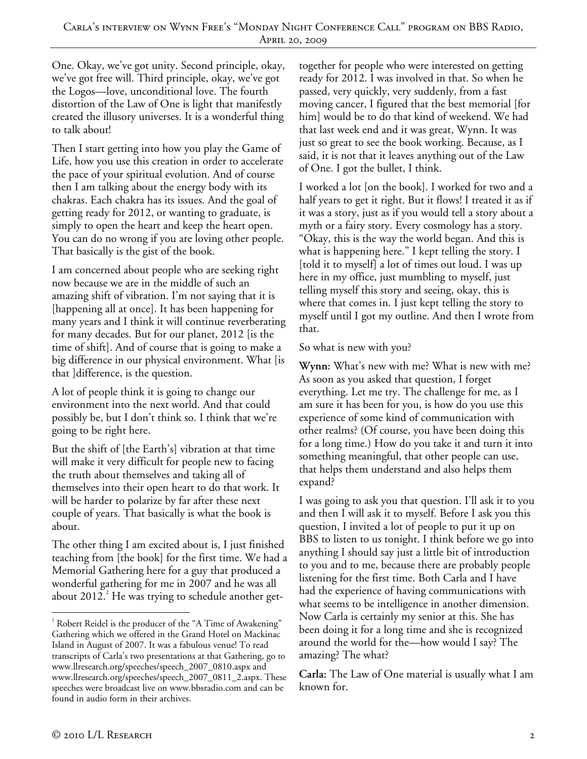One. Okay, we've got unity. Second principle, okay, we've got free will. Third principle, okay, we've got the Logos—love, unconditional love. The fourth distortion of the Law of One is light that manifestly created the illusory universes. It is a wonderful thing to talk about!

Then I start getting into how you play the Game of Life, how you use this creation in order to accelerate the pace of your spiritual evolution. And of course then I am talking about the energy body with its chakras. Each chakra has its issues. And the goal of getting ready for 2012, or wanting to graduate, is simply to open the heart and keep the heart open. You can do no wrong if you are loving other people. That basically is the gist of the book.

I am concerned about people who are seeking right now because we are in the middle of such an amazing shift of vibration. I'm not saying that it is [happening all at once]. It has been happening for many years and I think it will continue reverberating for many decades. But for our planet, 2012 [is the time of shift]. And of course that is going to make a big difference in our physical environment. What [is that ]difference, is the question.

A lot of people think it is going to change our environment into the next world. And that could possibly be, but I don't think so. I think that we're going to be right here.

But the shift of [the Earth's] vibration at that time will make it very difficult for people new to facing the truth about themselves and taking all of themselves into their open heart to do that work. It will be harder to polarize by far after these next couple of years. That basically is what the book is about.

The other thing I am excited about is, I just finished teaching from [the book] for the first time. We had a Memorial Gathering here for a guy that produced a wonderful gathering for me in 2007 and he was all about 2012. $^2$  He was trying to schedule another gettogether for people who were interested on getting ready for 2012. I was involved in that. So when he passed, very quickly, very suddenly, from a fast moving cancer, I figured that the best memorial [for him] would be to do that kind of weekend. We had that last week end and it was great, Wynn. It was just so great to see the book working. Because, as I said, it is not that it leaves anything out of the Law of One. I got the bullet, I think.

I worked a lot [on the book]. I worked for two and a half years to get it right. But it flows! I treated it as if it was a story, just as if you would tell a story about a myth or a fairy story. Every cosmology has a story. "Okay, this is the way the world began. And this is what is happening here." I kept telling the story. I [told it to myself] a lot of times out loud. I was up here in my office, just mumbling to myself, just telling myself this story and seeing, okay, this is where that comes in. I just kept telling the story to myself until I got my outline. And then I wrote from that.

#### So what is new with you?

**Wynn:** What's new with me? What is new with me? As soon as you asked that question, I forget everything. Let me try. The challenge for me, as I am sure it has been for you, is how do you use this experience of some kind of communication with other realms? (Of course, you have been doing this for a long time.) How do you take it and turn it into something meaningful, that other people can use, that helps them understand and also helps them expand?

I was going to ask you that question. I'll ask it to you and then I will ask it to myself. Before I ask you this question, I invited a lot of people to put it up on BBS to listen to us tonight. I think before we go into anything I should say just a little bit of introduction to you and to me, because there are probably people listening for the first time. Both Carla and I have had the experience of having communications with what seems to be intelligence in another dimension. Now Carla is certainly my senior at this. She has been doing it for a long time and she is recognized around the world for the—how would I say? The amazing? The what?

**Carla:** The Law of One material is usually what I am known for.

-

 $2^{2}$  Robert Reidel is the producer of the "A Time of Awakening" Gathering which we offered in the Grand Hotel on Mackinac Island in August of 2007. It was a fabulous venue! To read transcripts of Carla's two presentations at that Gathering, go to www.llresearch.org/speeches/speech\_2007\_0810.aspx and www.llresearch.org/speeches/speech\_2007\_0811\_2.aspx. These speeches were broadcast live on www.bbsradio.com and can be found in audio form in their archives.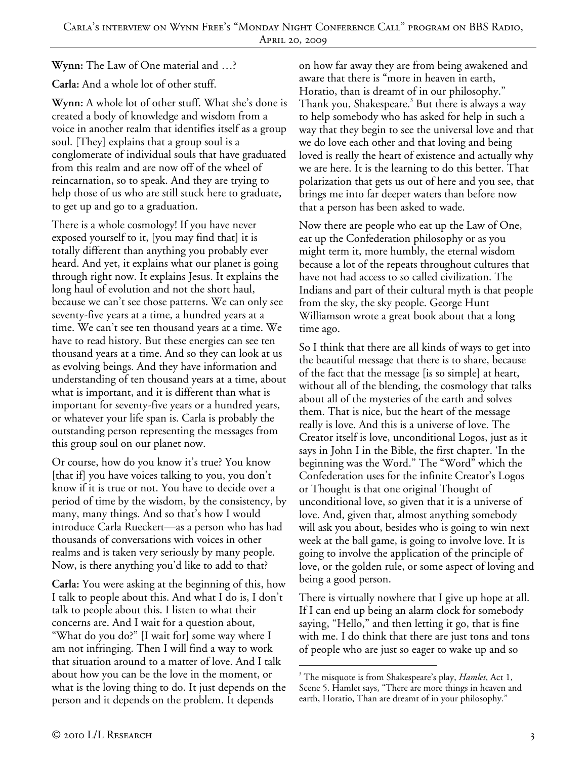**Wynn:** The Law of One material and …?

**Carla:** And a whole lot of other stuff.

**Wynn:** A whole lot of other stuff. What she's done is created a body of knowledge and wisdom from a voice in another realm that identifies itself as a group soul. [They] explains that a group soul is a conglomerate of individual souls that have graduated from this realm and are now off of the wheel of reincarnation, so to speak. And they are trying to help those of us who are still stuck here to graduate, to get up and go to a graduation.

There is a whole cosmology! If you have never exposed yourself to it, [you may find that] it is totally different than anything you probably ever heard. And yet, it explains what our planet is going through right now. It explains Jesus. It explains the long haul of evolution and not the short haul, because we can't see those patterns. We can only see seventy-five years at a time, a hundred years at a time. We can't see ten thousand years at a time. We have to read history. But these energies can see ten thousand years at a time. And so they can look at us as evolving beings. And they have information and understanding of ten thousand years at a time, about what is important, and it is different than what is important for seventy-five years or a hundred years, or whatever your life span is. Carla is probably the outstanding person representing the messages from this group soul on our planet now.

Or course, how do you know it's true? You know [that if] you have voices talking to you, you don't know if it is true or not. You have to decide over a period of time by the wisdom, by the consistency, by many, many things. And so that's how I would introduce Carla Rueckert—as a person who has had thousands of conversations with voices in other realms and is taken very seriously by many people. Now, is there anything you'd like to add to that?

**Carla:** You were asking at the beginning of this, how I talk to people about this. And what I do is, I don't talk to people about this. I listen to what their concerns are. And I wait for a question about, "What do you do?" [I wait for] some way where I am not infringing. Then I will find a way to work that situation around to a matter of love. And I talk about how you can be the love in the moment, or what is the loving thing to do. It just depends on the person and it depends on the problem. It depends

on how far away they are from being awakened and aware that there is "more in heaven in earth, Horatio, than is dreamt of in our philosophy." Thank you, Shakespeare.<sup>3</sup> But there is always a way to help somebody who has asked for help in such a way that they begin to see the universal love and that we do love each other and that loving and being loved is really the heart of existence and actually why we are here. It is the learning to do this better. That polarization that gets us out of here and you see, that brings me into far deeper waters than before now that a person has been asked to wade.

Now there are people who eat up the Law of One, eat up the Confederation philosophy or as you might term it, more humbly, the eternal wisdom because a lot of the repeats throughout cultures that have not had access to so called civilization. The Indians and part of their cultural myth is that people from the sky, the sky people. George Hunt Williamson wrote a great book about that a long time ago.

So I think that there are all kinds of ways to get into the beautiful message that there is to share, because of the fact that the message [is so simple] at heart, without all of the blending, the cosmology that talks about all of the mysteries of the earth and solves them. That is nice, but the heart of the message really is love. And this is a universe of love. The Creator itself is love, unconditional Logos, just as it says in John I in the Bible, the first chapter. 'In the beginning was the Word." The "Word" which the Confederation uses for the infinite Creator's Logos or Thought is that one original Thought of unconditional love, so given that it is a universe of love. And, given that, almost anything somebody will ask you about, besides who is going to win next week at the ball game, is going to involve love. It is going to involve the application of the principle of love, or the golden rule, or some aspect of loving and being a good person.

There is virtually nowhere that I give up hope at all. If I can end up being an alarm clock for somebody saying, "Hello," and then letting it go, that is fine with me. I do think that there are just tons and tons of people who are just so eager to wake up and so

 $\overline{a}$ 3 The misquote is from Shakespeare's play, *Hamlet*, Act 1, Scene 5. Hamlet says, "There are more things in heaven and earth, Horatio, Than are dreamt of in your philosophy."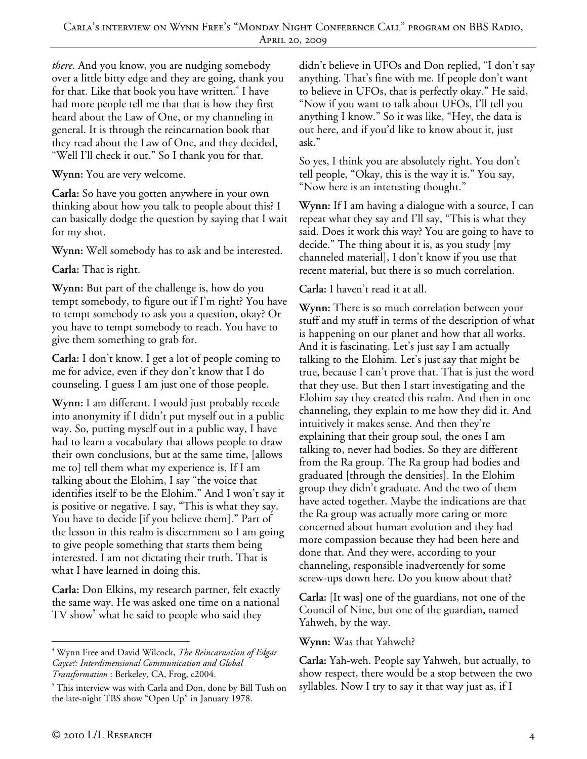*there*. And you know, you are nudging somebody over a little bitty edge and they are going, thank you for that. Like that book you have written.<sup>4</sup> I have had more people tell me that that is how they first heard about the Law of One, or my channeling in general. It is through the reincarnation book that they read about the Law of One, and they decided, "Well I'll check it out." So I thank you for that.

**Wynn:** You are very welcome.

**Carla:** So have you gotten anywhere in your own thinking about how you talk to people about this? I can basically dodge the question by saying that I wait for my shot.

**Wynn:** Well somebody has to ask and be interested.

**Carla:** That is right.

**Wynn:** But part of the challenge is, how do you tempt somebody, to figure out if I'm right? You have to tempt somebody to ask you a question, okay? Or you have to tempt somebody to reach. You have to give them something to grab for.

**Carla:** I don't know. I get a lot of people coming to me for advice, even if they don't know that I do counseling. I guess I am just one of those people.

**Wynn:** I am different. I would just probably recede into anonymity if I didn't put myself out in a public way. So, putting myself out in a public way, I have had to learn a vocabulary that allows people to draw their own conclusions, but at the same time, [allows me to] tell them what my experience is. If I am talking about the Elohim, I say "the voice that identifies itself to be the Elohim." And I won't say it is positive or negative. I say, "This is what they say. You have to decide [if you believe them]." Part of the lesson in this realm is discernment so I am going to give people something that starts them being interested. I am not dictating their truth. That is what I have learned in doing this.

**Carla:** Don Elkins, my research partner, felt exactly the same way. He was asked one time on a national  $TV$  show $^5$  what he said to people who said they

didn't believe in UFOs and Don replied, "I don't say anything. That's fine with me. If people don't want to believe in UFOs, that is perfectly okay." He said, "Now if you want to talk about UFOs, I'll tell you anything I know." So it was like, "Hey, the data is out here, and if you'd like to know about it, just ask."

So yes, I think you are absolutely right. You don't tell people, "Okay, this is the way it is." You say, "Now here is an interesting thought."

**Wynn:** If I am having a dialogue with a source, I can repeat what they say and I'll say, "This is what they said. Does it work this way? You are going to have to decide." The thing about it is, as you study [my channeled material], I don't know if you use that recent material, but there is so much correlation.

## **Carla:** I haven't read it at all.

**Wynn:** There is so much correlation between your stuff and my stuff in terms of the description of what is happening on our planet and how that all works. And it is fascinating. Let's just say I am actually talking to the Elohim. Let's just say that might be true, because I can't prove that. That is just the word that they use. But then I start investigating and the Elohim say they created this realm. And then in one channeling, they explain to me how they did it. And intuitively it makes sense. And then they're explaining that their group soul, the ones I am talking to, never had bodies. So they are different from the Ra group. The Ra group had bodies and graduated [through the densities]. In the Elohim group they didn't graduate. And the two of them have acted together. Maybe the indications are that the Ra group was actually more caring or more concerned about human evolution and they had more compassion because they had been here and done that. And they were, according to your channeling, responsible inadvertently for some screw-ups down here. Do you know about that?

**Carla:** [It was] one of the guardians, not one of the Council of Nine, but one of the guardian, named Yahweh, by the way.

## **Wynn:** Was that Yahweh?

**Carla:** Yah-weh. People say Yahweh, but actually, to show respect, there would be a stop between the two syllables. Now I try to say it that way just as, if I

 $\overline{a}$ 4 Wynn Free and David Wilcock, *The Reincarnation of Edgar Cayce?: Interdimensional Communication and Global Transformation* : Berkeley, CA, Frog, c2004. 5

This interview was with Carla and Don, done by Bill Tush on the late-night TBS show "Open Up" in January 1978.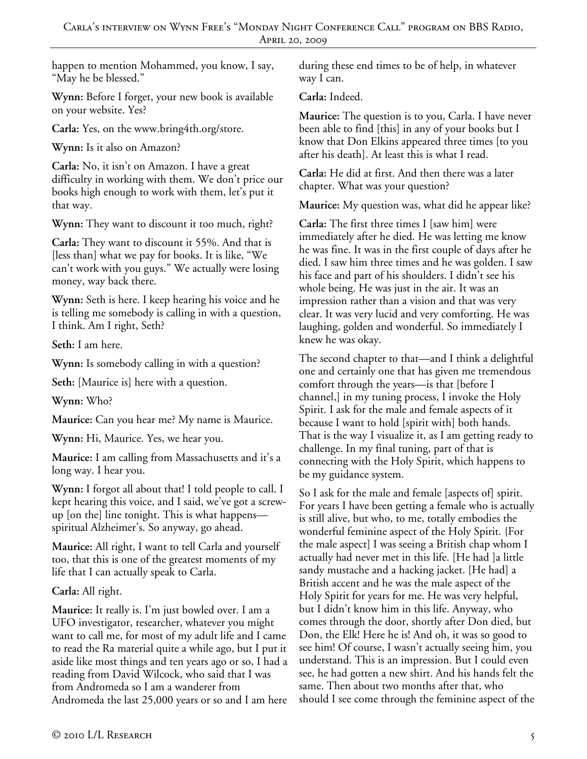happen to mention Mohammed, you know, I say, "May he be blessed."

**Wynn:** Before I forget, your new book is available on your website. Yes?

**Carla:** Yes, on the www.bring4th.org/store.

**Wynn:** Is it also on Amazon?

**Carla:** No, it isn't on Amazon. I have a great difficulty in working with them. We don't price our books high enough to work with them, let's put it that way.

**Wynn:** They want to discount it too much, right?

**Carla:** They want to discount it 55%. And that is [less than] what we pay for books. It is like, "We can't work with you guys." We actually were losing money, way back there.

**Wynn:** Seth is here. I keep hearing his voice and he is telling me somebody is calling in with a question, I think. Am I right, Seth?

**Seth:** I am here.

**Wynn:** Is somebody calling in with a question?

**Seth:** [Maurice is] here with a question.

**Wynn:** Who?

**Maurice:** Can you hear me? My name is Maurice.

**Wynn:** Hi, Maurice. Yes, we hear you.

**Maurice:** I am calling from Massachusetts and it's a long way. I hear you.

**Wynn:** I forgot all about that! I told people to call. I kept hearing this voice, and I said, we've got a screwup [on the] line tonight. This is what happens spiritual Alzheimer's. So anyway, go ahead.

**Maurice:** All right, I want to tell Carla and yourself too, that this is one of the greatest moments of my life that I can actually speak to Carla.

## **Carla:** All right.

**Maurice:** It really is. I'm just bowled over. I am a UFO investigator, researcher, whatever you might want to call me, for most of my adult life and I came to read the Ra material quite a while ago, but I put it aside like most things and ten years ago or so, I had a reading from David Wilcock, who said that I was from Andromeda so I am a wanderer from Andromeda the last 25,000 years or so and I am here during these end times to be of help, in whatever way I can.

**Carla:** Indeed.

**Maurice:** The question is to you, Carla. I have never been able to find [this] in any of your books but I know that Don Elkins appeared three times [to you after his death]. At least this is what I read.

**Carla:** He did at first. And then there was a later chapter. What was your question?

**Maurice:** My question was, what did he appear like?

**Carla:** The first three times I [saw him] were immediately after he died. He was letting me know he was fine. It was in the first couple of days after he died. I saw him three times and he was golden. I saw his face and part of his shoulders. I didn't see his whole being. He was just in the air. It was an impression rather than a vision and that was very clear. It was very lucid and very comforting. He was laughing, golden and wonderful. So immediately I knew he was okay.

The second chapter to that—and I think a delightful one and certainly one that has given me tremendous comfort through the years—is that [before I channel,] in my tuning process, I invoke the Holy Spirit. I ask for the male and female aspects of it because I want to hold [spirit with] both hands. That is the way I visualize it, as I am getting ready to challenge. In my final tuning, part of that is connecting with the Holy Spirit, which happens to be my guidance system.

So I ask for the male and female [aspects of] spirit. For years I have been getting a female who is actually is still alive, but who, to me, totally embodies the wonderful feminine aspect of the Holy Spirit. {For the male aspect] I was seeing a British chap whom I actually had never met in this life. [He had ]a little sandy mustache and a hacking jacket. [He had] a British accent and he was the male aspect of the Holy Spirit for years for me. He was very helpful, but I didn't know him in this life. Anyway, who comes through the door, shortly after Don died, but Don, the Elk! Here he is! And oh, it was so good to see him! Of course, I wasn't actually seeing him, you understand. This is an impression. But I could even see, he had gotten a new shirt. And his hands felt the same. Then about two months after that, who should I see come through the feminine aspect of the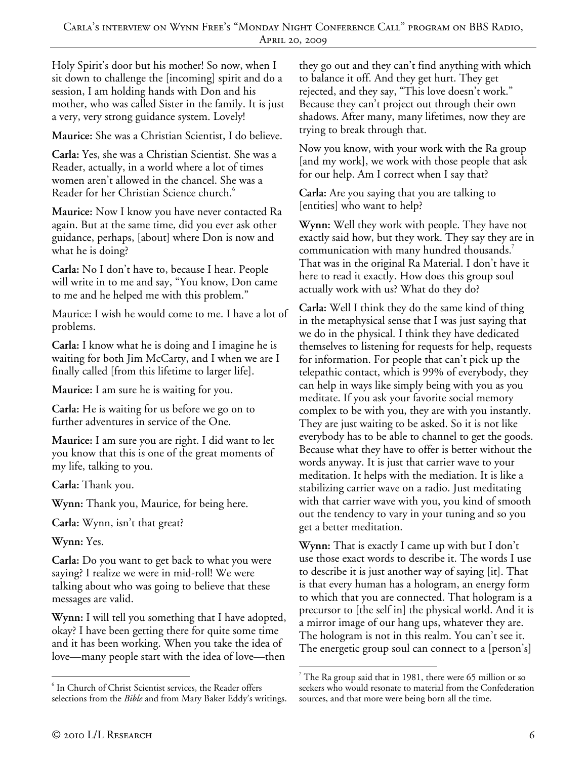Holy Spirit's door but his mother! So now, when I sit down to challenge the [incoming] spirit and do a session, I am holding hands with Don and his mother, who was called Sister in the family. It is just a very, very strong guidance system. Lovely!

**Maurice:** She was a Christian Scientist, I do believe.

**Carla:** Yes, she was a Christian Scientist. She was a Reader, actually, in a world where a lot of times women aren't allowed in the chancel. She was a Reader for her Christian Science church.<sup>6</sup>

**Maurice:** Now I know you have never contacted Ra again. But at the same time, did you ever ask other guidance, perhaps, [about] where Don is now and what he is doing?

**Carla:** No I don't have to, because I hear. People will write in to me and say, "You know, Don came to me and he helped me with this problem."

Maurice: I wish he would come to me. I have a lot of problems.

**Carla:** I know what he is doing and I imagine he is waiting for both Jim McCarty, and I when we are I finally called [from this lifetime to larger life].

**Maurice:** I am sure he is waiting for you.

**Carla:** He is waiting for us before we go on to further adventures in service of the One.

**Maurice:** I am sure you are right. I did want to let you know that this is one of the great moments of my life, talking to you.

**Carla:** Thank you.

**Wynn:** Thank you, Maurice, for being here.

**Carla:** Wynn, isn't that great?

**Wynn:** Yes.

**Carla:** Do you want to get back to what you were saying? I realize we were in mid-roll! We were talking about who was going to believe that these messages are valid.

**Wynn:** I will tell you something that I have adopted, okay? I have been getting there for quite some time and it has been working. When you take the idea of love—many people start with the idea of love—then

they go out and they can't find anything with which to balance it off. And they get hurt. They get rejected, and they say, "This love doesn't work." Because they can't project out through their own shadows. After many, many lifetimes, now they are trying to break through that.

Now you know, with your work with the Ra group [and my work], we work with those people that ask for our help. Am I correct when I say that?

**Carla:** Are you saying that you are talking to [entities] who want to help?

**Wynn:** Well they work with people. They have not exactly said how, but they work. They say they are in communication with many hundred thousands.<sup>7</sup> That was in the original Ra Material. I don't have it here to read it exactly. How does this group soul actually work with us? What do they do?

**Carla:** Well I think they do the same kind of thing in the metaphysical sense that I was just saying that we do in the physical. I think they have dedicated themselves to listening for requests for help, requests for information. For people that can't pick up the telepathic contact, which is 99% of everybody, they can help in ways like simply being with you as you meditate. If you ask your favorite social memory complex to be with you, they are with you instantly. They are just waiting to be asked. So it is not like everybody has to be able to channel to get the goods. Because what they have to offer is better without the words anyway. It is just that carrier wave to your meditation. It helps with the mediation. It is like a stabilizing carrier wave on a radio. Just meditating with that carrier wave with you, you kind of smooth out the tendency to vary in your tuning and so you get a better meditation.

**Wynn:** That is exactly I came up with but I don't use those exact words to describe it. The words I use to describe it is just another way of saying [it]. That is that every human has a hologram, an energy form to which that you are connected. That hologram is a precursor to [the self in] the physical world. And it is a mirror image of our hang ups, whatever they are. The hologram is not in this realm. You can't see it. The energetic group soul can connect to a [person's]

 $\overline{a}$ 6 In Church of Christ Scientist services, the Reader offers selections from the *Bible* and from Mary Baker Eddy's writings.

<sup>-</sup> $7$  The Ra group said that in 1981, there were 65 million or so seekers who would resonate to material from the Confederation sources, and that more were being born all the time.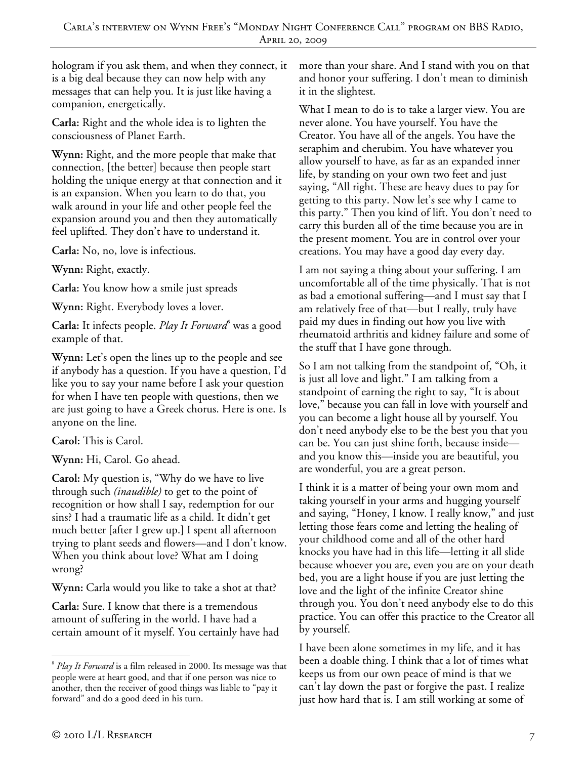hologram if you ask them, and when they connect, it is a big deal because they can now help with any messages that can help you. It is just like having a companion, energetically.

**Carla:** Right and the whole idea is to lighten the consciousness of Planet Earth.

**Wynn:** Right, and the more people that make that connection, [the better] because then people start holding the unique energy at that connection and it is an expansion. When you learn to do that, you walk around in your life and other people feel the expansion around you and then they automatically feel uplifted. They don't have to understand it.

**Carla:** No, no, love is infectious.

**Wynn:** Right, exactly.

**Carla:** You know how a smile just spreads

**Wynn:** Right. Everybody loves a lover.

**Carla:** It infects people. *Play It Forward<sup>8</sup>* was a good example of that.

**Wynn:** Let's open the lines up to the people and see if anybody has a question. If you have a question, I'd like you to say your name before I ask your question for when I have ten people with questions, then we are just going to have a Greek chorus. Here is one. Is anyone on the line.

**Carol:** This is Carol.

**Wynn:** Hi, Carol. Go ahead.

**Carol:** My question is, "Why do we have to live through such *(inaudible)* to get to the point of recognition or how shall I say, redemption for our sins? I had a traumatic life as a child. It didn't get much better [after I grew up.] I spent all afternoon trying to plant seeds and flowers—and I don't know. When you think about love? What am I doing wrong?

**Wynn:** Carla would you like to take a shot at that?

**Carla:** Sure. I know that there is a tremendous amount of suffering in the world. I have had a certain amount of it myself. You certainly have had more than your share. And I stand with you on that and honor your suffering. I don't mean to diminish it in the slightest.

What I mean to do is to take a larger view. You are never alone. You have yourself. You have the Creator. You have all of the angels. You have the seraphim and cherubim. You have whatever you allow yourself to have, as far as an expanded inner life, by standing on your own two feet and just saying, "All right. These are heavy dues to pay for getting to this party. Now let's see why I came to this party." Then you kind of lift. You don't need to carry this burden all of the time because you are in the present moment. You are in control over your creations. You may have a good day every day.

I am not saying a thing about your suffering. I am uncomfortable all of the time physically. That is not as bad a emotional suffering—and I must say that I am relatively free of that—but I really, truly have paid my dues in finding out how you live with rheumatoid arthritis and kidney failure and some of the stuff that I have gone through.

So I am not talking from the standpoint of, "Oh, it is just all love and light." I am talking from a standpoint of earning the right to say, "It is about love," because you can fall in love with yourself and you can become a light house all by yourself. You don't need anybody else to be the best you that you can be. You can just shine forth, because inside and you know this—inside you are beautiful, you are wonderful, you are a great person.

I think it is a matter of being your own mom and taking yourself in your arms and hugging yourself and saying, "Honey, I know. I really know," and just letting those fears come and letting the healing of your childhood come and all of the other hard knocks you have had in this life—letting it all slide because whoever you are, even you are on your death bed, you are a light house if you are just letting the love and the light of the infinite Creator shine through you. You don't need anybody else to do this practice. You can offer this practice to the Creator all by yourself.

I have been alone sometimes in my life, and it has been a doable thing. I think that a lot of times what keeps us from our own peace of mind is that we can't lay down the past or forgive the past. I realize just how hard that is. I am still working at some of

 $\overline{a}$ 8 *Play It Forward* is a film released in 2000. Its message was that people were at heart good, and that if one person was nice to another, then the receiver of good things was liable to "pay it forward" and do a good deed in his turn.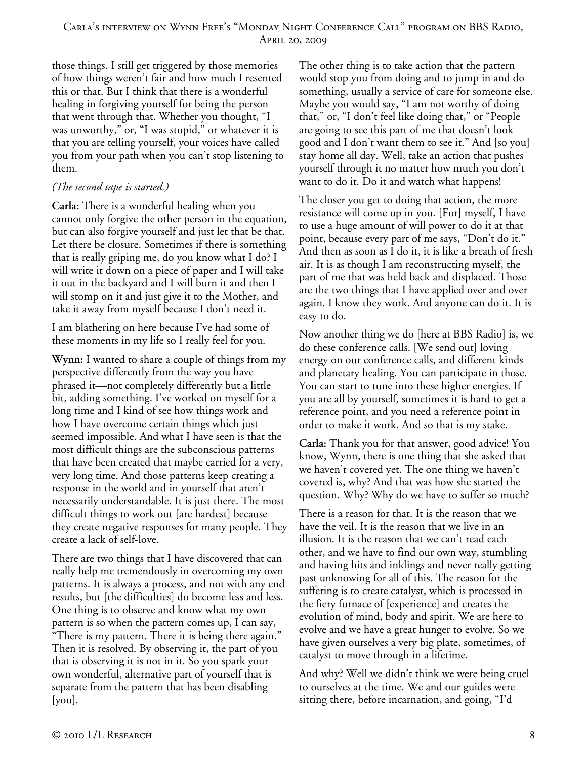those things. I still get triggered by those memories of how things weren't fair and how much I resented this or that. But I think that there is a wonderful healing in forgiving yourself for being the person that went through that. Whether you thought, "I was unworthy," or, "I was stupid," or whatever it is that you are telling yourself, your voices have called you from your path when you can't stop listening to them.

## *(The second tape is started.)*

**Carla:** There is a wonderful healing when you cannot only forgive the other person in the equation, but can also forgive yourself and just let that be that. Let there be closure. Sometimes if there is something that is really griping me, do you know what I do? I will write it down on a piece of paper and I will take it out in the backyard and I will burn it and then I will stomp on it and just give it to the Mother, and take it away from myself because I don't need it.

I am blathering on here because I've had some of these moments in my life so I really feel for you.

**Wynn:** I wanted to share a couple of things from my perspective differently from the way you have phrased it—not completely differently but a little bit, adding something. I've worked on myself for a long time and I kind of see how things work and how I have overcome certain things which just seemed impossible. And what I have seen is that the most difficult things are the subconscious patterns that have been created that maybe carried for a very, very long time. And those patterns keep creating a response in the world and in yourself that aren't necessarily understandable. It is just there. The most difficult things to work out [are hardest] because they create negative responses for many people. They create a lack of self-love.

There are two things that I have discovered that can really help me tremendously in overcoming my own patterns. It is always a process, and not with any end results, but [the difficulties] do become less and less. One thing is to observe and know what my own pattern is so when the pattern comes up, I can say, "There is my pattern. There it is being there again." Then it is resolved. By observing it, the part of you that is observing it is not in it. So you spark your own wonderful, alternative part of yourself that is separate from the pattern that has been disabling [you].

The other thing is to take action that the pattern would stop you from doing and to jump in and do something, usually a service of care for someone else. Maybe you would say, "I am not worthy of doing that," or, "I don't feel like doing that," or "People are going to see this part of me that doesn't look good and I don't want them to see it." And [so you] stay home all day. Well, take an action that pushes yourself through it no matter how much you don't want to do it. Do it and watch what happens!

The closer you get to doing that action, the more resistance will come up in you. [For] myself, I have to use a huge amount of will power to do it at that point, because every part of me says, "Don't do it." And then as soon as I do it, it is like a breath of fresh air. It is as though I am reconstructing myself, the part of me that was held back and displaced. Those are the two things that I have applied over and over again. I know they work. And anyone can do it. It is easy to do.

Now another thing we do [here at BBS Radio] is, we do these conference calls. [We send out] loving energy on our conference calls, and different kinds and planetary healing. You can participate in those. You can start to tune into these higher energies. If you are all by yourself, sometimes it is hard to get a reference point, and you need a reference point in order to make it work. And so that is my stake.

**Carla:** Thank you for that answer, good advice! You know, Wynn, there is one thing that she asked that we haven't covered yet. The one thing we haven't covered is, why? And that was how she started the question. Why? Why do we have to suffer so much?

There is a reason for that. It is the reason that we have the veil. It is the reason that we live in an illusion. It is the reason that we can't read each other, and we have to find our own way, stumbling and having hits and inklings and never really getting past unknowing for all of this. The reason for the suffering is to create catalyst, which is processed in the fiery furnace of [experience] and creates the evolution of mind, body and spirit. We are here to evolve and we have a great hunger to evolve. So we have given ourselves a very big plate, sometimes, of catalyst to move through in a lifetime.

And why? Well we didn't think we were being cruel to ourselves at the time. We and our guides were sitting there, before incarnation, and going, "I'd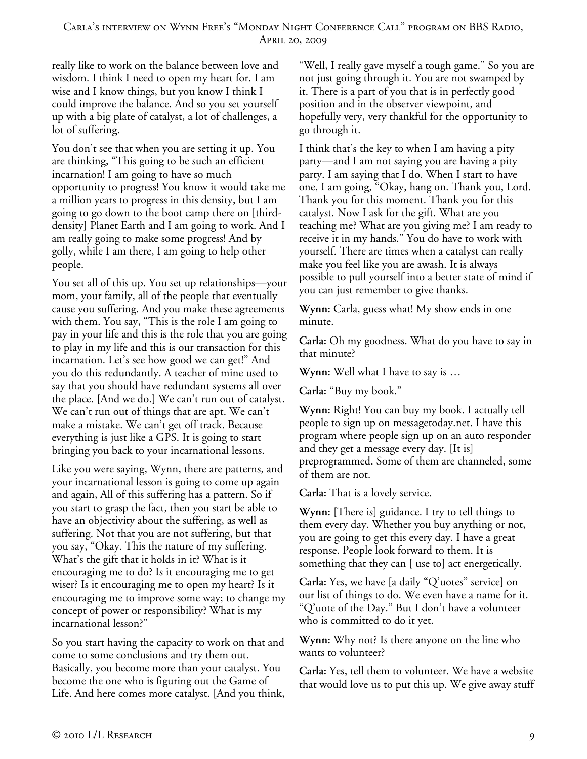really like to work on the balance between love and wisdom. I think I need to open my heart for. I am wise and I know things, but you know I think I could improve the balance. And so you set yourself up with a big plate of catalyst, a lot of challenges, a lot of suffering.

You don't see that when you are setting it up. You are thinking, "This going to be such an efficient incarnation! I am going to have so much opportunity to progress! You know it would take me a million years to progress in this density, but I am going to go down to the boot camp there on [thirddensity] Planet Earth and I am going to work. And I am really going to make some progress! And by golly, while I am there, I am going to help other people.

You set all of this up. You set up relationships—your mom, your family, all of the people that eventually cause you suffering. And you make these agreements with them. You say, "This is the role I am going to pay in your life and this is the role that you are going to play in my life and this is our transaction for this incarnation. Let's see how good we can get!" And you do this redundantly. A teacher of mine used to say that you should have redundant systems all over the place. [And we do.] We can't run out of catalyst. We can't run out of things that are apt. We can't make a mistake. We can't get off track. Because everything is just like a GPS. It is going to start bringing you back to your incarnational lessons.

Like you were saying, Wynn, there are patterns, and your incarnational lesson is going to come up again and again, All of this suffering has a pattern. So if you start to grasp the fact, then you start be able to have an objectivity about the suffering, as well as suffering. Not that you are not suffering, but that you say, "Okay. This the nature of my suffering. What's the gift that it holds in it? What is it encouraging me to do? Is it encouraging me to get wiser? Is it encouraging me to open my heart? Is it encouraging me to improve some way; to change my concept of power or responsibility? What is my incarnational lesson?"

So you start having the capacity to work on that and come to some conclusions and try them out. Basically, you become more than your catalyst. You become the one who is figuring out the Game of Life. And here comes more catalyst. [And you think,

"Well, I really gave myself a tough game." So you are not just going through it. You are not swamped by it. There is a part of you that is in perfectly good position and in the observer viewpoint, and hopefully very, very thankful for the opportunity to go through it.

I think that's the key to when I am having a pity party—and I am not saying you are having a pity party. I am saying that I do. When I start to have one, I am going, "Okay, hang on. Thank you, Lord. Thank you for this moment. Thank you for this catalyst. Now I ask for the gift. What are you teaching me? What are you giving me? I am ready to receive it in my hands." You do have to work with yourself. There are times when a catalyst can really make you feel like you are awash. It is always possible to pull yourself into a better state of mind if you can just remember to give thanks.

**Wynn:** Carla, guess what! My show ends in one minute.

**Carla:** Oh my goodness. What do you have to say in that minute?

**Wynn:** Well what I have to say is …

**Carla:** "Buy my book."

**Wynn:** Right! You can buy my book. I actually tell people to sign up on messagetoday.net. I have this program where people sign up on an auto responder and they get a message every day. [It is] preprogrammed. Some of them are channeled, some of them are not.

**Carla:** That is a lovely service.

**Wynn:** [There is] guidance. I try to tell things to them every day. Whether you buy anything or not, you are going to get this every day. I have a great response. People look forward to them. It is something that they can [ use to] act energetically.

**Carla:** Yes, we have [a daily "Q'uotes" service] on our list of things to do. We even have a name for it. "Q'uote of the Day." But I don't have a volunteer who is committed to do it yet.

**Wynn:** Why not? Is there anyone on the line who wants to volunteer?

**Carla:** Yes, tell them to volunteer. We have a website that would love us to put this up. We give away stuff